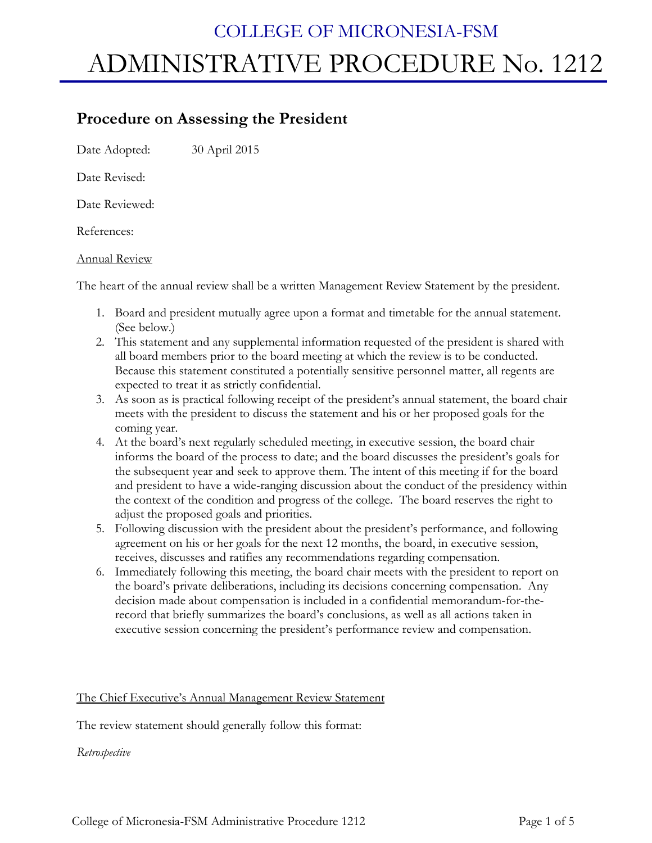# COLLEGE OF MICRONESIA-FSM ADMINISTRATIVE PROCEDURE No. 1212

# **Procedure on Assessing the President**

Date Adopted: 30 April 2015

Date Revised:

Date Reviewed:

References:

# Annual Review

The heart of the annual review shall be a written Management Review Statement by the president.

- 1. Board and president mutually agree upon a format and timetable for the annual statement. (See below.)
- 2. This statement and any supplemental information requested of the president is shared with all board members prior to the board meeting at which the review is to be conducted. Because this statement constituted a potentially sensitive personnel matter, all regents are expected to treat it as strictly confidential.
- 3. As soon as is practical following receipt of the president's annual statement, the board chair meets with the president to discuss the statement and his or her proposed goals for the coming year.
- 4. At the board's next regularly scheduled meeting, in executive session, the board chair informs the board of the process to date; and the board discusses the president's goals for the subsequent year and seek to approve them. The intent of this meeting if for the board and president to have a wide-ranging discussion about the conduct of the presidency within the context of the condition and progress of the college. The board reserves the right to adjust the proposed goals and priorities.
- 5. Following discussion with the president about the president's performance, and following agreement on his or her goals for the next 12 months, the board, in executive session, receives, discusses and ratifies any recommendations regarding compensation.
- 6. Immediately following this meeting, the board chair meets with the president to report on the board's private deliberations, including its decisions concerning compensation. Any decision made about compensation is included in a confidential memorandum-for-therecord that briefly summarizes the board's conclusions, as well as all actions taken in executive session concerning the president's performance review and compensation.

# The Chief Executive's Annual Management Review Statement

The review statement should generally follow this format:

*Retrospective*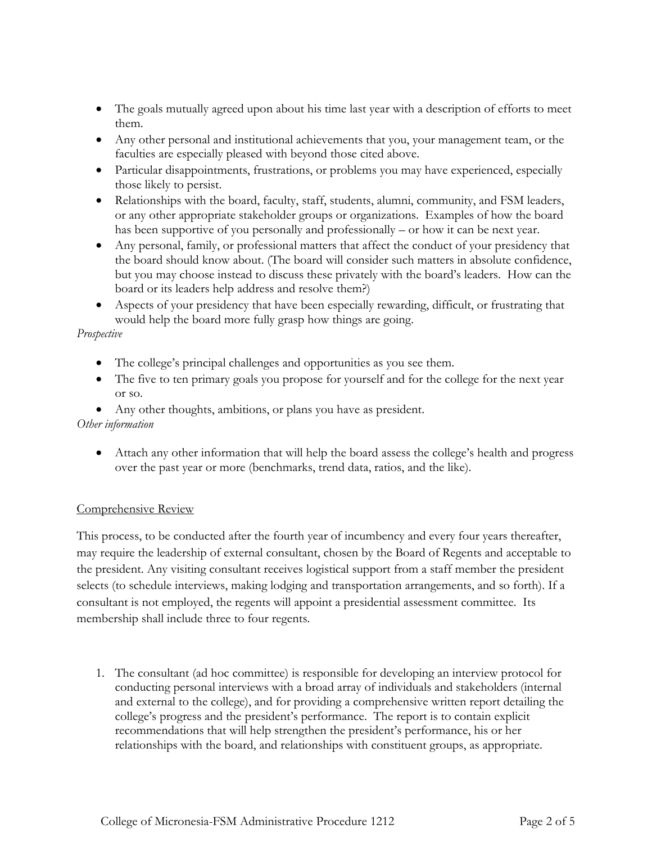- The goals mutually agreed upon about his time last year with a description of efforts to meet them.
- Any other personal and institutional achievements that you, your management team, or the faculties are especially pleased with beyond those cited above.
- Particular disappointments, frustrations, or problems you may have experienced, especially those likely to persist.
- Relationships with the board, faculty, staff, students, alumni, community, and FSM leaders, or any other appropriate stakeholder groups or organizations. Examples of how the board has been supportive of you personally and professionally – or how it can be next year.
- Any personal, family, or professional matters that affect the conduct of your presidency that the board should know about. (The board will consider such matters in absolute confidence, but you may choose instead to discuss these privately with the board's leaders. How can the board or its leaders help address and resolve them?)
- Aspects of your presidency that have been especially rewarding, difficult, or frustrating that would help the board more fully grasp how things are going.

# *Prospective*

- The college's principal challenges and opportunities as you see them.
- The five to ten primary goals you propose for yourself and for the college for the next year or so.

# Any other thoughts, ambitions, or plans you have as president.

#### *Other information*

 Attach any other information that will help the board assess the college's health and progress over the past year or more (benchmarks, trend data, ratios, and the like).

# Comprehensive Review

This process, to be conducted after the fourth year of incumbency and every four years thereafter, may require the leadership of external consultant, chosen by the Board of Regents and acceptable to the president. Any visiting consultant receives logistical support from a staff member the president selects (to schedule interviews, making lodging and transportation arrangements, and so forth). If a consultant is not employed, the regents will appoint a presidential assessment committee. Its membership shall include three to four regents.

1. The consultant (ad hoc committee) is responsible for developing an interview protocol for conducting personal interviews with a broad array of individuals and stakeholders (internal and external to the college), and for providing a comprehensive written report detailing the college's progress and the president's performance. The report is to contain explicit recommendations that will help strengthen the president's performance, his or her relationships with the board, and relationships with constituent groups, as appropriate.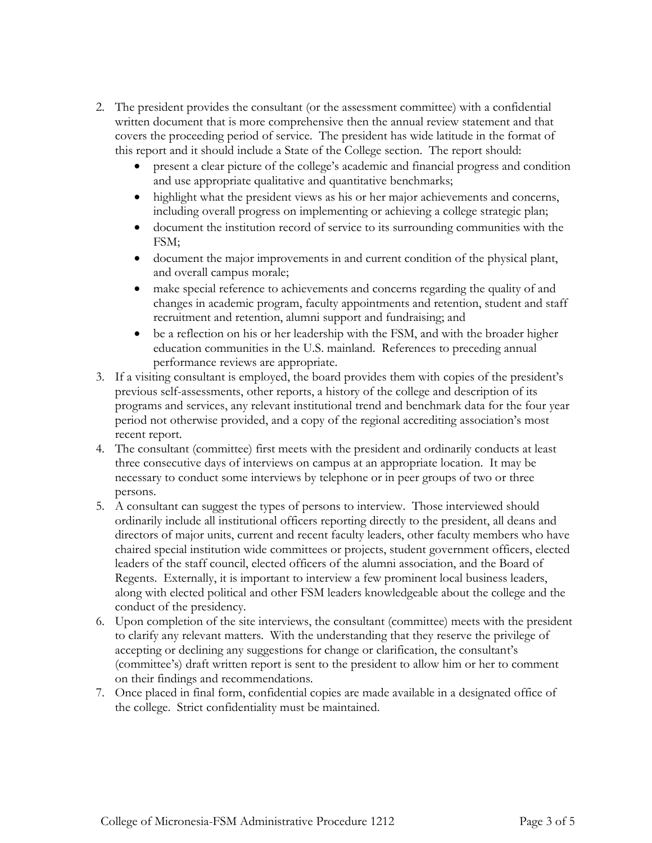- 2. The president provides the consultant (or the assessment committee) with a confidential written document that is more comprehensive then the annual review statement and that covers the proceeding period of service. The president has wide latitude in the format of this report and it should include a State of the College section. The report should:
	- present a clear picture of the college's academic and financial progress and condition and use appropriate qualitative and quantitative benchmarks;
	- highlight what the president views as his or her major achievements and concerns, including overall progress on implementing or achieving a college strategic plan;
	- document the institution record of service to its surrounding communities with the FSM;
	- document the major improvements in and current condition of the physical plant, and overall campus morale;
	- make special reference to achievements and concerns regarding the quality of and changes in academic program, faculty appointments and retention, student and staff recruitment and retention, alumni support and fundraising; and
	- be a reflection on his or her leadership with the FSM, and with the broader higher education communities in the U.S. mainland. References to preceding annual performance reviews are appropriate.
- 3. If a visiting consultant is employed, the board provides them with copies of the president's previous self-assessments, other reports, a history of the college and description of its programs and services, any relevant institutional trend and benchmark data for the four year period not otherwise provided, and a copy of the regional accrediting association's most recent report.
- 4. The consultant (committee) first meets with the president and ordinarily conducts at least three consecutive days of interviews on campus at an appropriate location. It may be necessary to conduct some interviews by telephone or in peer groups of two or three persons.
- 5. A consultant can suggest the types of persons to interview. Those interviewed should ordinarily include all institutional officers reporting directly to the president, all deans and directors of major units, current and recent faculty leaders, other faculty members who have chaired special institution wide committees or projects, student government officers, elected leaders of the staff council, elected officers of the alumni association, and the Board of Regents. Externally, it is important to interview a few prominent local business leaders, along with elected political and other FSM leaders knowledgeable about the college and the conduct of the presidency.
- 6. Upon completion of the site interviews, the consultant (committee) meets with the president to clarify any relevant matters. With the understanding that they reserve the privilege of accepting or declining any suggestions for change or clarification, the consultant's (committee's) draft written report is sent to the president to allow him or her to comment on their findings and recommendations.
- 7. Once placed in final form, confidential copies are made available in a designated office of the college. Strict confidentiality must be maintained.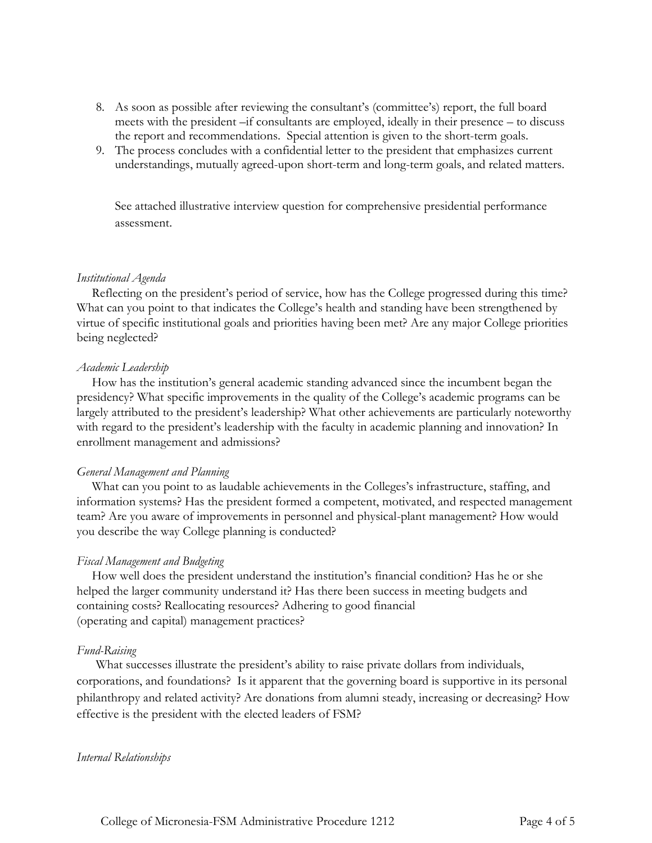- 8. As soon as possible after reviewing the consultant's (committee's) report, the full board meets with the president –if consultants are employed, ideally in their presence – to discuss the report and recommendations. Special attention is given to the short-term goals.
- 9. The process concludes with a confidential letter to the president that emphasizes current understandings, mutually agreed-upon short-term and long-term goals, and related matters.

See attached illustrative interview question for comprehensive presidential performance assessment.

#### *Institutional Agenda*

Reflecting on the president's period of service, how has the College progressed during this time? What can you point to that indicates the College's health and standing have been strengthened by virtue of specific institutional goals and priorities having been met? Are any major College priorities being neglected?

#### *Academic Leadership*

How has the institution's general academic standing advanced since the incumbent began the presidency? What specific improvements in the quality of the College's academic programs can be largely attributed to the president's leadership? What other achievements are particularly noteworthy with regard to the president's leadership with the faculty in academic planning and innovation? In enrollment management and admissions?

#### *General Management and Planning*

What can you point to as laudable achievements in the Colleges's infrastructure, staffing, and information systems? Has the president formed a competent, motivated, and respected management team? Are you aware of improvements in personnel and physical-plant management? How would you describe the way College planning is conducted?

#### *Fiscal Management and Budgeting*

How well does the president understand the institution's financial condition? Has he or she helped the larger community understand it? Has there been success in meeting budgets and containing costs? Reallocating resources? Adhering to good financial (operating and capital) management practices?

#### *Fund-Raising*

What successes illustrate the president's ability to raise private dollars from individuals, corporations, and foundations? Is it apparent that the governing board is supportive in its personal philanthropy and related activity? Are donations from alumni steady, increasing or decreasing? How effective is the president with the elected leaders of FSM?

#### *Internal Relationships*